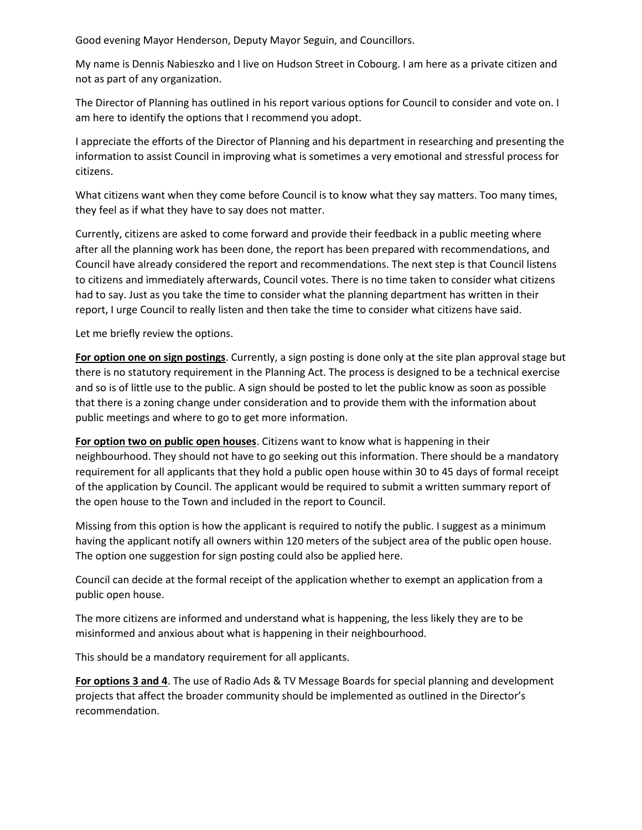Good evening Mayor Henderson, Deputy Mayor Seguin, and Councillors.

My name is Dennis Nabieszko and I live on Hudson Street in Cobourg. I am here as a private citizen and not as part of any organization.

The Director of Planning has outlined in his report various options for Council to consider and vote on. I am here to identify the options that I recommend you adopt.

I appreciate the efforts of the Director of Planning and his department in researching and presenting the information to assist Council in improving what is sometimes a very emotional and stressful process for citizens.

What citizens want when they come before Council is to know what they say matters. Too many times, they feel as if what they have to say does not matter.

Currently, citizens are asked to come forward and provide their feedback in a public meeting where after all the planning work has been done, the report has been prepared with recommendations, and Council have already considered the report and recommendations. The next step is that Council listens to citizens and immediately afterwards, Council votes. There is no time taken to consider what citizens had to say. Just as you take the time to consider what the planning department has written in their report, I urge Council to really listen and then take the time to consider what citizens have said.

Let me briefly review the options.

**For option one on sign postings**. Currently, a sign posting is done only at the site plan approval stage but there is no statutory requirement in the Planning Act. The process is designed to be a technical exercise and so is of little use to the public. A sign should be posted to let the public know as soon as possible that there is a zoning change under consideration and to provide them with the information about public meetings and where to go to get more information.

**For option two on public open houses**. Citizens want to know what is happening in their neighbourhood. They should not have to go seeking out this information. There should be a mandatory requirement for all applicants that they hold a public open house within 30 to 45 days of formal receipt of the application by Council. The applicant would be required to submit a written summary report of the open house to the Town and included in the report to Council.

Missing from this option is how the applicant is required to notify the public. I suggest as a minimum having the applicant notify all owners within 120 meters of the subject area of the public open house. The option one suggestion for sign posting could also be applied here.

Council can decide at the formal receipt of the application whether to exempt an application from a public open house.

The more citizens are informed and understand what is happening, the less likely they are to be misinformed and anxious about what is happening in their neighbourhood.

This should be a mandatory requirement for all applicants.

**For options 3 and 4**. The use of Radio Ads & TV Message Boards for special planning and development projects that affect the broader community should be implemented as outlined in the Director's recommendation.